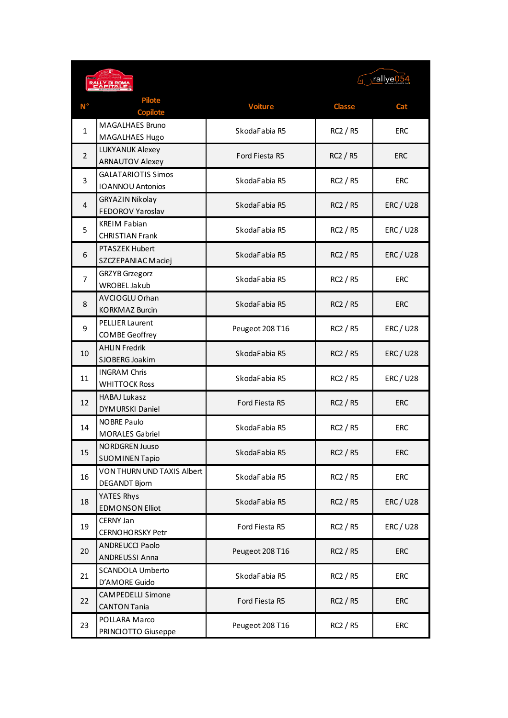|                |                                                      | $\sqrt{1 - n}$ rallye $\sqrt{0.54}$ |                 |                |
|----------------|------------------------------------------------------|-------------------------------------|-----------------|----------------|
|                | <b>Pilote</b><br><b>Copilote</b>                     | <b>Voiture</b>                      | <b>Classe</b>   | Cat            |
| $\mathbf{1}$   | <b>MAGALHAES Bruno</b><br>MAGALHAES Hugo             | SkodaFabia R5                       | RC2 / R5        | <b>ERC</b>     |
| $\overline{2}$ | <b>LUKYANUK Alexey</b><br><b>ARNAUTOV Alexey</b>     | Ford Fiesta R5                      | <b>RC2 / R5</b> | <b>ERC</b>     |
| 3              | <b>GALATARIOTIS Simos</b><br><b>IOANNOU Antonios</b> | SkodaFabia R5                       | RC2 / R5        | <b>ERC</b>     |
| $\overline{4}$ | <b>GRYAZIN Nikolay</b><br>FEDOROV Yaroslav           | SkodaFabia R5                       | <b>RC2 / R5</b> | <b>ERC/U28</b> |
| 5              | <b>KREIM Fabian</b><br><b>CHRISTIAN Frank</b>        | SkodaFabia R5                       | RC2 / R5        | <b>ERC/U28</b> |
| 6              | <b>PTASZEK Hubert</b><br>SZCZEPANIAC Maciej          | SkodaFabia R5                       | <b>RC2 / R5</b> | <b>ERC/U28</b> |
| 7              | <b>GRZYB</b> Grzegorz<br>WROBEL Jakub                | SkodaFabia R5                       | RC2 / R5        | <b>ERC</b>     |
| 8              | AVCIOGLU Orhan<br><b>KORKMAZ Burcin</b>              | SkodaFabia R5                       | <b>RC2 / R5</b> | <b>ERC</b>     |
| 9              | <b>PELLIER Laurent</b><br>COMBE Geoffrey             | Peugeot 208 T16                     | RC2 / R5        | <b>ERC/U28</b> |
| 10             | <b>AHLIN Fredrik</b><br>SJOBERG Joakim               | SkodaFabia R5                       | RC2 / R5        | <b>ERC/U28</b> |
| 11             | <b>INGRAM Chris</b><br><b>WHITTOCK Ross</b>          | SkodaFabia R5                       | RC2 / R5        | <b>ERC/U28</b> |
| 12             | <b>HABAJ Lukasz</b><br><b>DYMURSKI Daniel</b>        | Ford Fiesta R5                      | <b>RC2 / R5</b> | <b>ERC</b>     |
| 14             | <b>NOBRE Paulo</b><br><b>MORALES Gabriel</b>         | SkodaFabia R5                       | RC2 / R5        | <b>ERC</b>     |
| 15             | NORDGREN JUUSO<br><b>SUOMINEN Tapio</b>              | SkodaFabia R5                       | RC2 / R5        | <b>ERC</b>     |
| 16             | VON THURN UND TAXIS Albert<br>DEGANDT Bjorn          | SkodaFabia R5                       | RC2 / R5        | <b>ERC</b>     |
| 18             | YATES Rhys<br><b>EDMONSON Elliot</b>                 | SkodaFabia R5                       | RC2 / R5        | <b>ERC/U28</b> |
| 19             | CERNY Jan<br><b>CERNOHORSKY Petr</b>                 | Ford Fiesta R5                      | RC2 / R5        | <b>ERC/U28</b> |
| 20             | <b>ANDREUCCI Paolo</b><br>ANDREUSSI Anna             | Peugeot 208 T16                     | RC2 / R5        | <b>ERC</b>     |
| 21             | SCANDOLA Umberto<br>D'AMORE Guido                    | SkodaFabia R5                       | RC2 / R5        | <b>ERC</b>     |
| 22             | <b>CAMPEDELLI Simone</b><br><b>CANTON Tania</b>      | Ford Fiesta R5                      | RC2 / R5        | ERC            |
| 23             | POLLARA Marco<br>PRINCIOTTO Giuseppe                 | Peugeot 208 T16                     | RC2 / R5        | <b>ERC</b>     |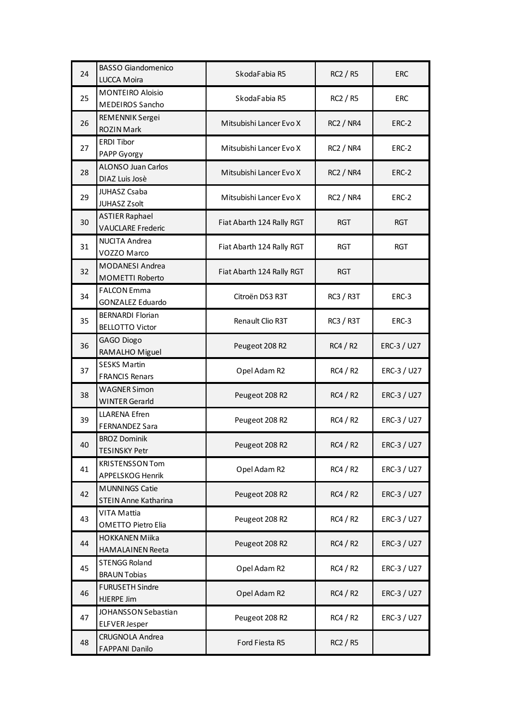| 24 | <b>BASSO Giandomenico</b>                            | SkodaFabia R5             | RC2 / R5         | <b>ERC</b>  |
|----|------------------------------------------------------|---------------------------|------------------|-------------|
|    | LUCCA Moira                                          |                           |                  |             |
| 25 | <b>MONTEIRO Aloisio</b>                              | SkodaFabia R5             | RC2 / R5         | <b>ERC</b>  |
|    | MEDEIROS Sancho                                      |                           |                  |             |
| 26 | REMENNIK Sergei                                      | Mitsubishi Lancer Evo X   | <b>RC2 / NR4</b> |             |
|    | <b>ROZIN Mark</b>                                    |                           |                  | ERC-2       |
| 27 | <b>ERDI Tibor</b>                                    | Mitsubishi Lancer Evo X   | <b>RC2 / NR4</b> | ERC-2       |
|    | PAPP Gyorgy                                          |                           |                  |             |
| 28 | <b>ALONSO Juan Carlos</b>                            | Mitsubishi Lancer Evo X   | <b>RC2 / NR4</b> | ERC-2       |
|    | DIAZ Luis Josè                                       |                           |                  |             |
| 29 | JUHASZ Csaba                                         | Mitsubishi Lancer Evo X   | <b>RC2 / NR4</b> | ERC-2       |
|    | JUHASZ Zsolt                                         |                           |                  |             |
| 30 | <b>ASTIER Raphael</b>                                | Fiat Abarth 124 Rally RGT | <b>RGT</b>       | <b>RGT</b>  |
|    | <b>VAUCLARE Frederic</b>                             |                           |                  |             |
| 31 | <b>NUCITA Andrea</b>                                 | Fiat Abarth 124 Rally RGT | <b>RGT</b>       | <b>RGT</b>  |
|    | VOZZO Marco                                          |                           |                  |             |
| 32 | MODANESI Andrea                                      | Fiat Abarth 124 Rally RGT | <b>RGT</b>       |             |
|    | MOMETTI Roberto                                      |                           |                  |             |
| 34 | <b>FALCON Emma</b>                                   | Citroën DS3 R3T           | <b>RC3 / R3T</b> | ERC-3       |
|    | <b>GONZALEZ Eduardo</b>                              |                           |                  |             |
| 35 | <b>BERNARDI Florian</b>                              | Renault Clio R3T          | <b>RC3 / R3T</b> | ERC-3       |
|    | <b>BELLOTTO Victor</b>                               |                           |                  |             |
| 36 | GAGO Diogo                                           | Peugeot 208 R2            | RC4/R2           | ERC-3 / U27 |
|    | RAMALHO Miguel                                       |                           |                  |             |
| 37 | <b>SESKS Martin</b>                                  | Opel Adam R2              | RC4/R2           | ERC-3 / U27 |
|    | <b>FRANCIS Renars</b>                                |                           |                  |             |
| 38 | <b>WAGNER Simon</b>                                  | Peugeot 208 R2            | RC4/R2           | ERC-3 / U27 |
|    | <b>WINTER Gerarld</b>                                |                           |                  |             |
| 39 | <b>LLARENA Efren</b>                                 | Peugeot 208 R2            | RC4/R2           | ERC-3 / U27 |
|    | <b>FERNANDEZ Sara</b>                                |                           |                  |             |
| 40 | <b>BROZ Dominik</b>                                  | Peugeot 208 R2            | RC4 / R2         | ERC-3 / U27 |
|    | <b>TESINSKY Petr</b>                                 |                           |                  |             |
| 41 | <b>KRISTENSSON Tom</b>                               | Opel Adam R2              | RC4/R2           | ERC-3 / U27 |
|    | APPELSKOG Henrik                                     |                           |                  |             |
| 42 | <b>MUNNINGS Catie</b><br><b>STEIN Anne Katharina</b> | Peugeot 208 R2            | RC4/R2           | ERC-3 / U27 |
|    | VITA Mattia                                          |                           |                  |             |
| 43 | OMETTO Pietro Elia                                   | Peugeot 208 R2            | RC4/R2           | ERC-3 / U27 |
|    | <b>HOKKANEN Miika</b>                                |                           |                  |             |
| 44 | <b>HAMALAINEN Reeta</b>                              | Peugeot 208 R2            | RC4/R2           | ERC-3 / U27 |
|    | <b>STENGG Roland</b>                                 |                           |                  |             |
| 45 | <b>BRAUN Tobias</b>                                  | Opel Adam R2              | RC4/R2           | ERC-3 / U27 |
|    | <b>FURUSETH Sindre</b>                               |                           |                  |             |
| 46 | <b>HJERPE Jim</b>                                    | Opel Adam R2              | RC4/R2           | ERC-3 / U27 |
|    | JOHANSSON Sebastian                                  |                           |                  |             |
| 47 | <b>ELFVER Jesper</b>                                 | Peugeot 208 R2            | RC4/R2           | ERC-3 / U27 |
|    | <b>CRUGNOLA Andrea</b>                               |                           |                  |             |
| 48 | <b>FAPPANI Danilo</b>                                | Ford Fiesta R5            | RC2 / R5         |             |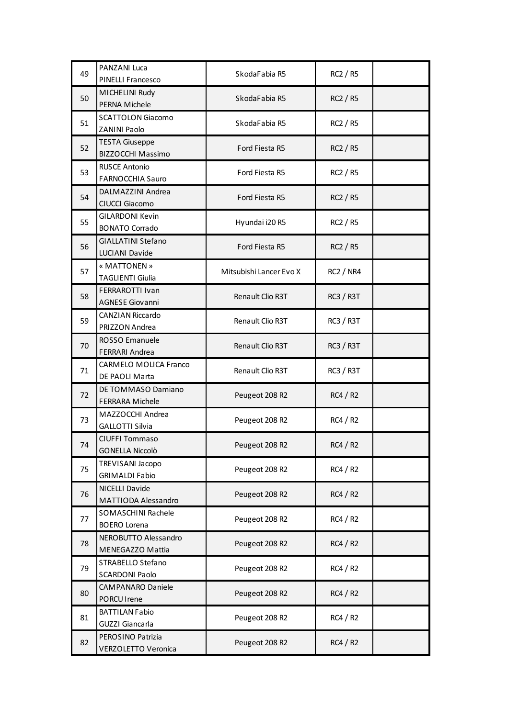| 49 | <b>PANZANI Luca</b>                         | SkodaFabia R5           | RC2 / R5         |  |
|----|---------------------------------------------|-------------------------|------------------|--|
|    | PINELLI Francesco                           |                         |                  |  |
| 50 | MICHELINI Rudy                              | SkodaFabia R5           | RC2 / R5         |  |
|    | PERNA Michele                               |                         |                  |  |
| 51 | <b>SCATTOLON Giacomo</b>                    | SkodaFabia R5           | RC2 / R5         |  |
|    | ZANINI Paolo                                |                         |                  |  |
| 52 | <b>TESTA Giuseppe</b>                       | Ford Fiesta R5          | <b>RC2 / R5</b>  |  |
|    | BIZZOCCHI Massimo                           |                         |                  |  |
| 53 | <b>RUSCE Antonio</b>                        | Ford Fiesta R5          | RC2 / R5         |  |
|    | <b>FARNOCCHIA Sauro</b>                     |                         |                  |  |
| 54 | DALMAZZINI Andrea                           | Ford Fiesta R5          | RC2 / R5         |  |
|    | CIUCCI Giacomo                              |                         |                  |  |
| 55 | <b>GILARDONI Kevin</b>                      | Hyundai i20 R5          | RC2 / R5         |  |
|    | <b>BONATO Corrado</b>                       |                         |                  |  |
| 56 | <b>GIALLATINI Stefano</b><br>LUCIANI Davide | Ford Fiesta R5          | <b>RC2 / R5</b>  |  |
|    | « MATTONEN »                                |                         |                  |  |
| 57 | <b>TAGLIENTI Giulia</b>                     | Mitsubishi Lancer Evo X | <b>RC2 / NR4</b> |  |
|    | FERRAROTTI Ivan                             |                         |                  |  |
| 58 | <b>AGNESE Giovanni</b>                      | Renault Clio R3T        | <b>RC3 / R3T</b> |  |
|    | <b>CANZIAN Riccardo</b>                     |                         |                  |  |
| 59 | PRIZZON Andrea                              | Renault Clio R3T        | <b>RC3 / R3T</b> |  |
|    | ROSSO Emanuele                              |                         |                  |  |
| 70 | <b>FERRARI Andrea</b>                       | Renault Clio R3T        | <b>RC3 / R3T</b> |  |
| 71 | <b>CARMELO MOLICA Franco</b>                | Renault Clio R3T        | <b>RC3 / R3T</b> |  |
|    | DE PAOLI Marta                              |                         |                  |  |
| 72 | DE TOMMASO Damiano                          | Peugeot 208 R2          | <b>RC4 / R2</b>  |  |
|    | <b>FERRARA Michele</b>                      |                         |                  |  |
| 73 | MAZZOCCHI Andrea                            | Peugeot 208 R2          | <b>RC4 / R2</b>  |  |
|    | <b>GALLOTTI Silvia</b>                      |                         |                  |  |
| 74 | CIUFFI Tommaso                              | Peugeot 208 R2          | RC4 / R2         |  |
|    | <b>GONELLA Niccolò</b>                      |                         |                  |  |
| 75 | <b>TREVISANI Jacopo</b>                     | Peugeot 208 R2          | RC4 / R2         |  |
|    | <b>GRIMALDI Fabio</b>                       |                         |                  |  |
| 76 | NICELLI Davide<br>MATTIODA Alessandro       | Peugeot 208 R2          | RC4/R2           |  |
|    | SOMASCHINI Rachele                          |                         |                  |  |
| 77 | <b>BOERO Lorena</b>                         | Peugeot 208 R2          | RC4/R2           |  |
|    | NEROBUTTO Alessandro                        |                         |                  |  |
| 78 | MENEGAZZO Mattia                            | Peugeot 208 R2          | RC4/R2           |  |
| 79 | STRABELLO Stefano                           |                         |                  |  |
|    | <b>SCARDONI Paolo</b>                       | Peugeot 208 R2          | RC4/R2           |  |
| 80 | <b>CAMPANARO Daniele</b>                    |                         |                  |  |
|    | PORCU Irene                                 | Peugeot 208 R2          | RC4/R2           |  |
| 81 | <b>BATTILAN Fabio</b>                       |                         |                  |  |
|    | GUZZI Giancarla                             | Peugeot 208 R2          | RC4/R2           |  |
| 82 | PEROSINO Patrizia                           | Peugeot 208 R2          | RC4/R2           |  |
|    | <b>VERZOLETTO Veronica</b>                  |                         |                  |  |